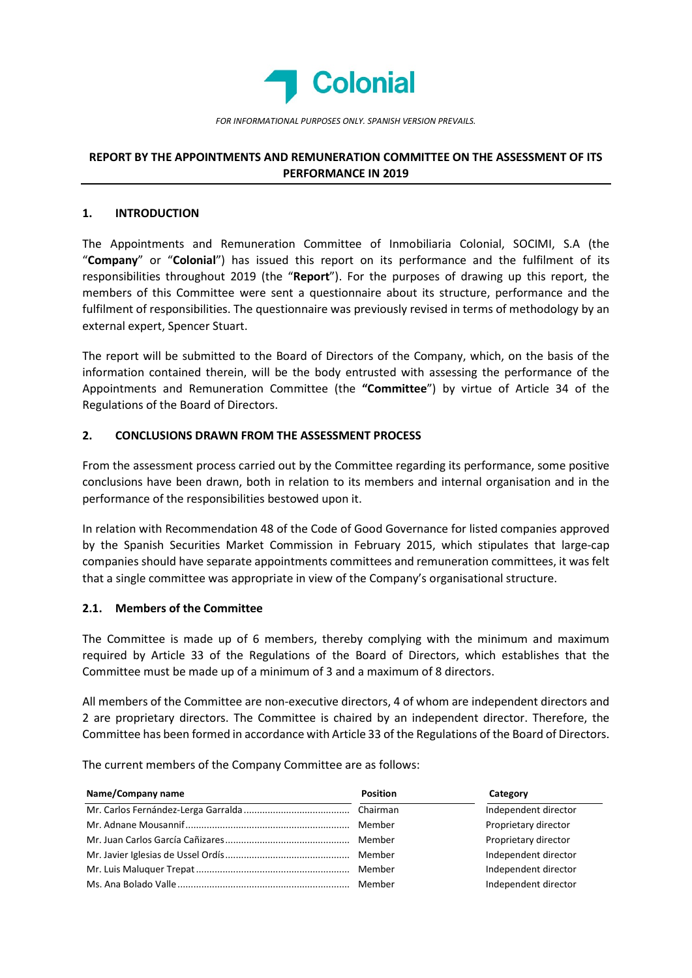

# REPORT BY THE APPOINTMENTS AND REMUNERATION COMMITTEE ON THE ASSESSMENT OF ITS PERFORMANCE IN 2019

### 1. INTRODUCTION

The Appointments and Remuneration Committee of Inmobiliaria Colonial, SOCIMI, S.A (the "Company" or "Colonial") has issued this report on its performance and the fulfilment of its responsibilities throughout 2019 (the "Report"). For the purposes of drawing up this report, the members of this Committee were sent a questionnaire about its structure, performance and the fulfilment of responsibilities. The questionnaire was previously revised in terms of methodology by an external expert, Spencer Stuart.

The report will be submitted to the Board of Directors of the Company, which, on the basis of the information contained therein, will be the body entrusted with assessing the performance of the Appointments and Remuneration Committee (the "Committee") by virtue of Article 34 of the Regulations of the Board of Directors.

## 2. CONCLUSIONS DRAWN FROM THE ASSESSMENT PROCESS

From the assessment process carried out by the Committee regarding its performance, some positive conclusions have been drawn, both in relation to its members and internal organisation and in the performance of the responsibilities bestowed upon it.

In relation with Recommendation 48 of the Code of Good Governance for listed companies approved by the Spanish Securities Market Commission in February 2015, which stipulates that large-cap companies should have separate appointments committees and remuneration committees, it was felt that a single committee was appropriate in view of the Company's organisational structure.

### 2.1. Members of the Committee

The Committee is made up of 6 members, thereby complying with the minimum and maximum required by Article 33 of the Regulations of the Board of Directors, which establishes that the Committee must be made up of a minimum of 3 and a maximum of 8 directors.

All members of the Committee are non-executive directors, 4 of whom are independent directors and 2 are proprietary directors. The Committee is chaired by an independent director. Therefore, the Committee has been formed in accordance with Article 33 of the Regulations of the Board of Directors.

The current members of the Company Committee are as follows:

| Name/Company name | <b>Position</b> | Category             |
|-------------------|-----------------|----------------------|
|                   |                 | Independent director |
|                   |                 | Proprietary director |
|                   |                 | Proprietary director |
|                   |                 | Independent director |
|                   |                 | Independent director |
|                   | Member          | Independent director |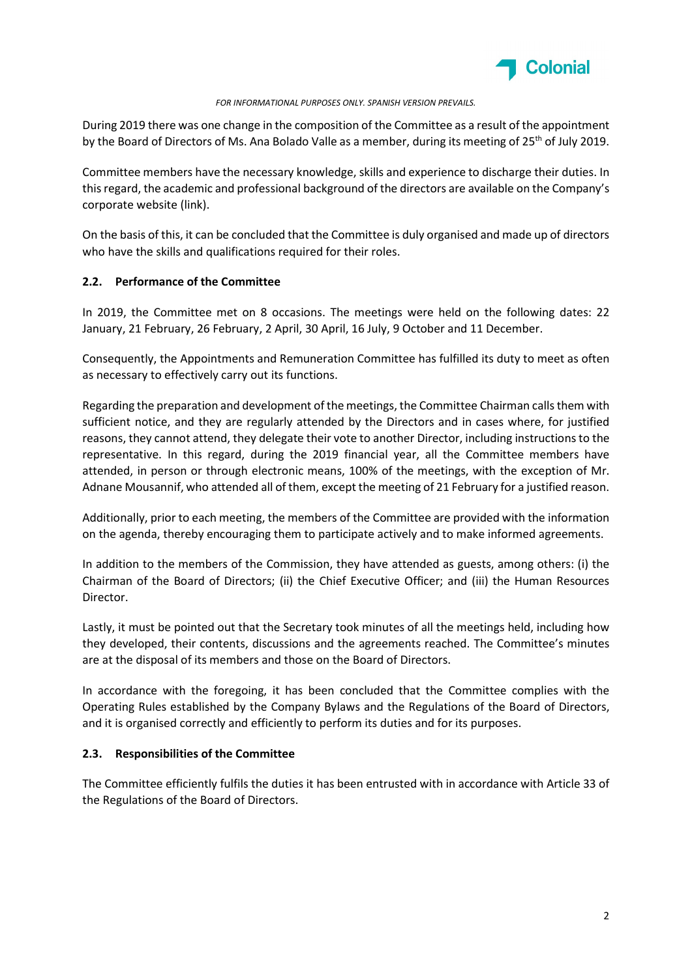

### FOR INFORMATIONAL PURPOSES ONLY. SPANISH VERSION PREVAILS.

During 2019 there was one change in the composition of the Committee as a result of the appointment by the Board of Directors of Ms. Ana Bolado Valle as a member, during its meeting of 25<sup>th</sup> of July 2019.

Committee members have the necessary knowledge, skills and experience to discharge their duties. In this regard, the academic and professional background of the directors are available on the Company's corporate website (link).

On the basis of this, it can be concluded that the Committee is duly organised and made up of directors who have the skills and qualifications required for their roles.

### 2.2. Performance of the Committee

In 2019, the Committee met on 8 occasions. The meetings were held on the following dates: 22 January, 21 February, 26 February, 2 April, 30 April, 16 July, 9 October and 11 December.

Consequently, the Appointments and Remuneration Committee has fulfilled its duty to meet as often as necessary to effectively carry out its functions.

Regarding the preparation and development of the meetings, the Committee Chairman calls them with sufficient notice, and they are regularly attended by the Directors and in cases where, for justified reasons, they cannot attend, they delegate their vote to another Director, including instructions to the representative. In this regard, during the 2019 financial year, all the Committee members have attended, in person or through electronic means, 100% of the meetings, with the exception of Mr. Adnane Mousannif, who attended all of them, except the meeting of 21 February for a justified reason.

Additionally, prior to each meeting, the members of the Committee are provided with the information on the agenda, thereby encouraging them to participate actively and to make informed agreements.

In addition to the members of the Commission, they have attended as guests, among others: (i) the Chairman of the Board of Directors; (ii) the Chief Executive Officer; and (iii) the Human Resources Director.

Lastly, it must be pointed out that the Secretary took minutes of all the meetings held, including how they developed, their contents, discussions and the agreements reached. The Committee's minutes are at the disposal of its members and those on the Board of Directors.

In accordance with the foregoing, it has been concluded that the Committee complies with the Operating Rules established by the Company Bylaws and the Regulations of the Board of Directors, and it is organised correctly and efficiently to perform its duties and for its purposes.

### 2.3. Responsibilities of the Committee

The Committee efficiently fulfils the duties it has been entrusted with in accordance with Article 33 of the Regulations of the Board of Directors.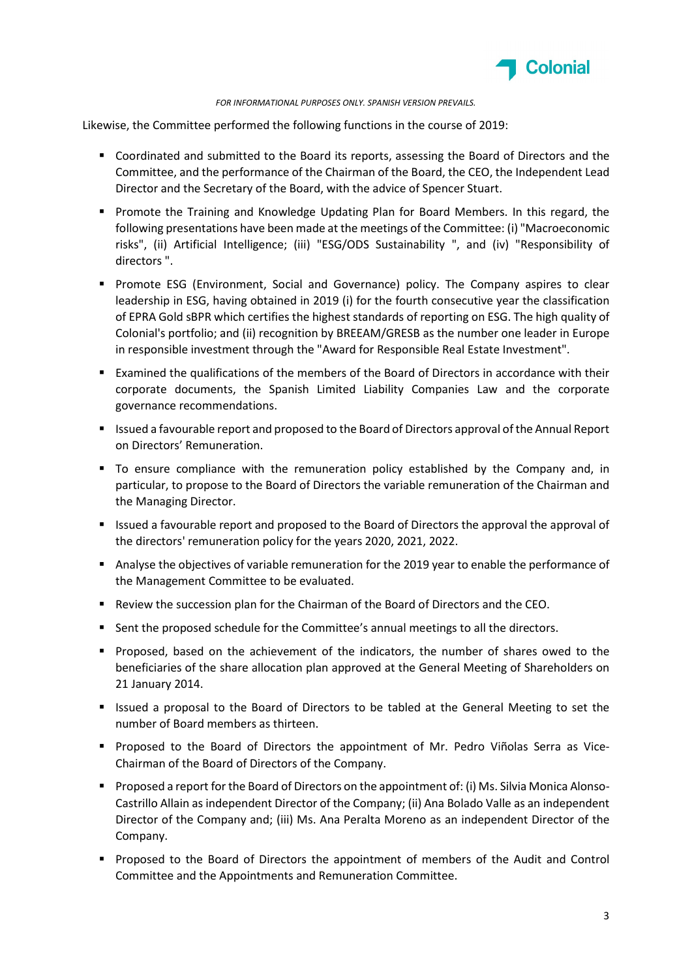

#### FOR INFORMATIONAL PURPOSES ONLY. SPANISH VERSION PREVAILS.

Likewise, the Committee performed the following functions in the course of 2019:

- Coordinated and submitted to the Board its reports, assessing the Board of Directors and the Committee, and the performance of the Chairman of the Board, the CEO, the Independent Lead Director and the Secretary of the Board, with the advice of Spencer Stuart.
- **Promote the Training and Knowledge Updating Plan for Board Members. In this regard, the** following presentations have been made at the meetings of the Committee: (i) "Macroeconomic risks", (ii) Artificial Intelligence; (iii) "ESG/ODS Sustainability ", and (iv) "Responsibility of directors ".
- **Promote ESG (Environment, Social and Governance) policy. The Company aspires to clear** leadership in ESG, having obtained in 2019 (i) for the fourth consecutive year the classification of EPRA Gold sBPR which certifies the highest standards of reporting on ESG. The high quality of Colonial's portfolio; and (ii) recognition by BREEAM/GRESB as the number one leader in Europe in responsible investment through the "Award for Responsible Real Estate Investment".
- Examined the qualifications of the members of the Board of Directors in accordance with their corporate documents, the Spanish Limited Liability Companies Law and the corporate governance recommendations.
- Issued a favourable report and proposed to the Board of Directors approval of the Annual Report on Directors' Remuneration.
- To ensure compliance with the remuneration policy established by the Company and, in particular, to propose to the Board of Directors the variable remuneration of the Chairman and the Managing Director.
- **ISSUED A** favourable report and proposed to the Board of Directors the approval the approval of the directors' remuneration policy for the years 2020, 2021, 2022.
- Analyse the objectives of variable remuneration for the 2019 year to enable the performance of the Management Committee to be evaluated.
- **Review the succession plan for the Chairman of the Board of Directors and the CEO.**
- **Sent the proposed schedule for the Committee's annual meetings to all the directors.**
- **Proposed, based on the achievement of the indicators, the number of shares owed to the** beneficiaries of the share allocation plan approved at the General Meeting of Shareholders on 21 January 2014.
- Issued a proposal to the Board of Directors to be tabled at the General Meeting to set the number of Board members as thirteen.
- Proposed to the Board of Directors the appointment of Mr. Pedro Viñolas Serra as Vice-Chairman of the Board of Directors of the Company.
- **Proposed a report for the Board of Directors on the appointment of: (i) Ms. Silvia Monica Alonso-**Castrillo Allain as independent Director of the Company; (ii) Ana Bolado Valle as an independent Director of the Company and; (iii) Ms. Ana Peralta Moreno as an independent Director of the Company.
- **Proposed to the Board of Directors the appointment of members of the Audit and Control** Committee and the Appointments and Remuneration Committee.